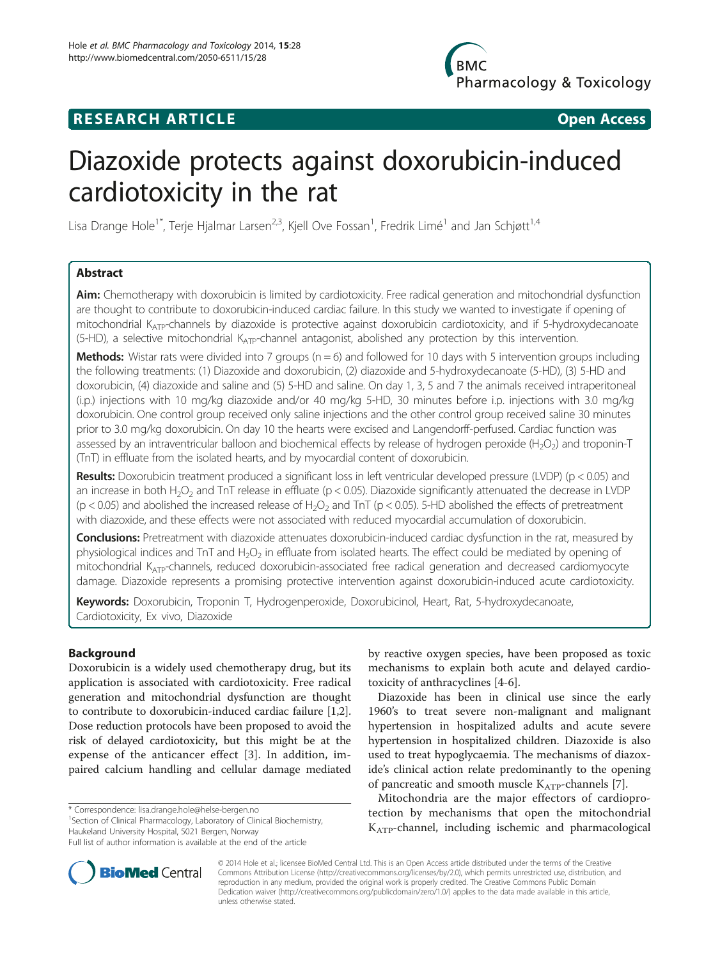# **RESEARCH ARTICLE Example 2018 Open Access**

# Diazoxide protects against doxorubicin-induced cardiotoxicity in the rat

Lisa Drange Hole<sup>1\*</sup>, Terje Hjalmar Larsen<sup>2,3</sup>, Kjell Ove Fossan<sup>1</sup>, Fredrik Limé<sup>1</sup> and Jan Schjøtt<sup>1,4</sup>

# Abstract

Aim: Chemotherapy with doxorubicin is limited by cardiotoxicity. Free radical generation and mitochondrial dysfunction are thought to contribute to doxorubicin-induced cardiac failure. In this study we wanted to investigate if opening of mitochondrial K<sub>ATP</sub>-channels by diazoxide is protective against doxorubicin cardiotoxicity, and if 5-hydroxydecanoate  $(5-HD)$ , a selective mitochondrial  $K_{ATP}$ -channel antagonist, abolished any protection by this intervention.

**Methods:** Wistar rats were divided into 7 groups ( $n = 6$ ) and followed for 10 days with 5 intervention groups including the following treatments: (1) Diazoxide and doxorubicin, (2) diazoxide and 5-hydroxydecanoate (5-HD), (3) 5-HD and doxorubicin, (4) diazoxide and saline and (5) 5-HD and saline. On day 1, 3, 5 and 7 the animals received intraperitoneal (i.p.) injections with 10 mg/kg diazoxide and/or 40 mg/kg 5-HD, 30 minutes before i.p. injections with 3.0 mg/kg doxorubicin. One control group received only saline injections and the other control group received saline 30 minutes prior to 3.0 mg/kg doxorubicin. On day 10 the hearts were excised and Langendorff-perfused. Cardiac function was assessed by an intraventricular balloon and biochemical effects by release of hydrogen peroxide (H<sub>2</sub>O<sub>2</sub>) and troponin-T (TnT) in effluate from the isolated hearts, and by myocardial content of doxorubicin.

Results: Doxorubicin treatment produced a significant loss in left ventricular developed pressure (LVDP) (p < 0.05) and an increase in both H<sub>2</sub>O<sub>2</sub> and TnT release in effluate (p < 0.05). Diazoxide significantly attenuated the decrease in LVDP ( $p$  < 0.05) and abolished the increased release of H<sub>2</sub>O<sub>2</sub> and TnT ( $p$  < 0.05). 5-HD abolished the effects of pretreatment with diazoxide, and these effects were not associated with reduced myocardial accumulation of doxorubicin.

Conclusions: Pretreatment with diazoxide attenuates doxorubicin-induced cardiac dysfunction in the rat, measured by physiological indices and TnT and H<sub>2</sub>O<sub>2</sub> in effluate from isolated hearts. The effect could be mediated by opening of mitochondrial K<sub>ATP</sub>-channels, reduced doxorubicin-associated free radical generation and decreased cardiomyocyte damage. Diazoxide represents a promising protective intervention against doxorubicin-induced acute cardiotoxicity.

Keywords: Doxorubicin, Troponin T, Hydrogenperoxide, Doxorubicinol, Heart, Rat, 5-hydroxydecanoate, Cardiotoxicity, Ex vivo, Diazoxide

# Background

Doxorubicin is a widely used chemotherapy drug, but its application is associated with cardiotoxicity. Free radical generation and mitochondrial dysfunction are thought to contribute to doxorubicin-induced cardiac failure [[1](#page-6-0),[2](#page-6-0)]. Dose reduction protocols have been proposed to avoid the risk of delayed cardiotoxicity, but this might be at the expense of the anticancer effect [\[3](#page-6-0)]. In addition, impaired calcium handling and cellular damage mediated

\* Correspondence: [lisa.drange.hole@helse-bergen.no](mailto:lisa.drange.hole@helse-bergen.no) <sup>1</sup>

<sup>1</sup>Section of Clinical Pharmacology, Laboratory of Clinical Biochemistry, Haukeland University Hospital, 5021 Bergen, Norway



Diazoxide has been in clinical use since the early 1960's to treat severe non-malignant and malignant hypertension in hospitalized adults and acute severe hypertension in hospitalized children. Diazoxide is also used to treat hypoglycaemia. The mechanisms of diazoxide's clinical action relate predominantly to the opening of pancreatic and smooth muscle  $K_{ATP}$ -channels [[7](#page-6-0)].

Mitochondria are the major effectors of cardioprotection by mechanisms that open the mitochondrial KATP-channel, including ischemic and pharmacological



© 2014 Hole et al.; licensee BioMed Central Ltd. This is an Open Access article distributed under the terms of the Creative Commons Attribution License [\(http://creativecommons.org/licenses/by/2.0\)](http://creativecommons.org/licenses/by/2.0), which permits unrestricted use, distribution, and reproduction in any medium, provided the original work is properly credited. The Creative Commons Public Domain Dedication waiver [\(http://creativecommons.org/publicdomain/zero/1.0/](http://creativecommons.org/publicdomain/zero/1.0/)) applies to the data made available in this article, unless otherwise stated.

Full list of author information is available at the end of the article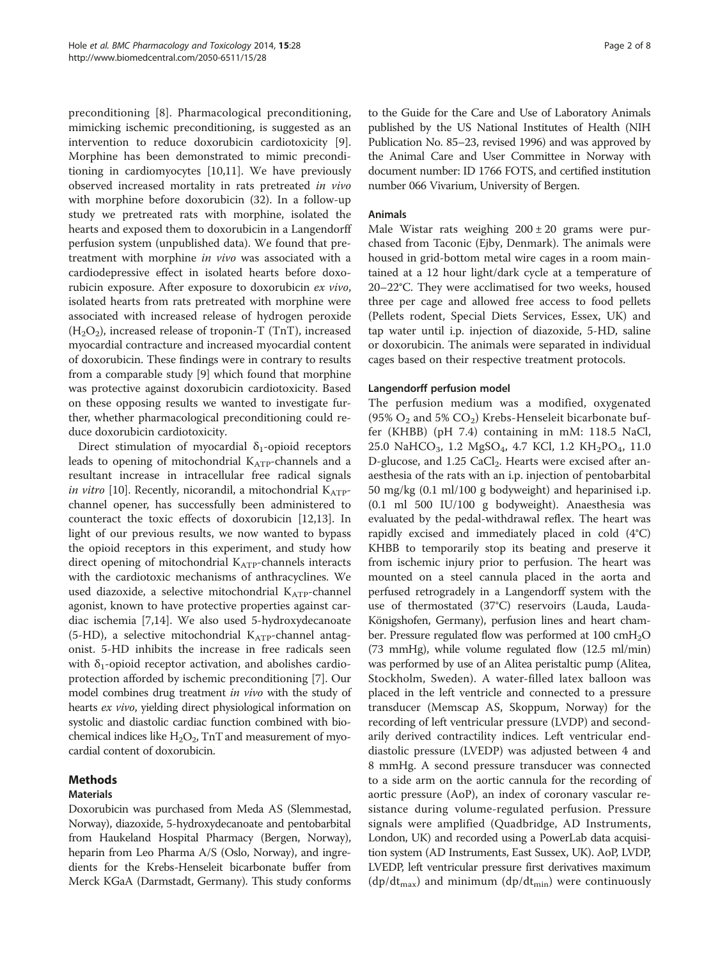preconditioning [[8\]](#page-6-0). Pharmacological preconditioning, mimicking ischemic preconditioning, is suggested as an intervention to reduce doxorubicin cardiotoxicity [\[9](#page-6-0)]. Morphine has been demonstrated to mimic preconditioning in cardiomyocytes [[10,11](#page-6-0)]. We have previously observed increased mortality in rats pretreated in vivo with morphine before doxorubicin (32). In a follow-up study we pretreated rats with morphine, isolated the hearts and exposed them to doxorubicin in a Langendorff perfusion system (unpublished data). We found that pretreatment with morphine in vivo was associated with a cardiodepressive effect in isolated hearts before doxorubicin exposure. After exposure to doxorubicin ex vivo, isolated hearts from rats pretreated with morphine were associated with increased release of hydrogen peroxide  $(H<sub>2</sub>O<sub>2</sub>)$ , increased release of troponin-T (TnT), increased myocardial contracture and increased myocardial content of doxorubicin. These findings were in contrary to results from a comparable study [[9\]](#page-6-0) which found that morphine was protective against doxorubicin cardiotoxicity. Based on these opposing results we wanted to investigate further, whether pharmacological preconditioning could reduce doxorubicin cardiotoxicity.

Direct stimulation of myocardial  $\delta_1$ -opioid receptors leads to opening of mitochondrial KATP-channels and a resultant increase in intracellular free radical signals in vitro [\[10\]](#page-6-0). Recently, nicorandil, a mitochondrial  $K_{ATP}$ channel opener, has successfully been administered to counteract the toxic effects of doxorubicin [[12,13\]](#page-6-0). In light of our previous results, we now wanted to bypass the opioid receptors in this experiment, and study how direct opening of mitochondrial KATP-channels interacts with the cardiotoxic mechanisms of anthracyclines. We used diazoxide, a selective mitochondrial  $K_{ATP}$ -channel agonist, known to have protective properties against cardiac ischemia [\[7,14](#page-6-0)]. We also used 5-hydroxydecanoate (5-HD), a selective mitochondrial  $K_{ATP}$ -channel antagonist. 5-HD inhibits the increase in free radicals seen with  $\delta_1$ -opioid receptor activation, and abolishes cardioprotection afforded by ischemic preconditioning [[7\]](#page-6-0). Our model combines drug treatment *in vivo* with the study of hearts ex vivo, yielding direct physiological information on systolic and diastolic cardiac function combined with biochemical indices like  $H_2O_2$ , TnT and measurement of myocardial content of doxorubicin.

# Methods

# Materials

Doxorubicin was purchased from Meda AS (Slemmestad, Norway), diazoxide, 5-hydroxydecanoate and pentobarbital from Haukeland Hospital Pharmacy (Bergen, Norway), heparin from Leo Pharma A/S (Oslo, Norway), and ingredients for the Krebs-Henseleit bicarbonate buffer from Merck KGaA (Darmstadt, Germany). This study conforms to the Guide for the Care and Use of Laboratory Animals published by the US National Institutes of Health (NIH Publication No. 85–23, revised 1996) and was approved by the Animal Care and User Committee in Norway with document number: ID 1766 FOTS, and certified institution number 066 Vivarium, University of Bergen.

# Animals

Male Wistar rats weighing  $200 \pm 20$  grams were purchased from Taconic (Ejby, Denmark). The animals were housed in grid-bottom metal wire cages in a room maintained at a 12 hour light/dark cycle at a temperature of 20–22°C. They were acclimatised for two weeks, housed three per cage and allowed free access to food pellets (Pellets rodent, Special Diets Services, Essex, UK) and tap water until i.p. injection of diazoxide, 5-HD, saline or doxorubicin. The animals were separated in individual cages based on their respective treatment protocols.

# Langendorff perfusion model

The perfusion medium was a modified, oxygenated (95%  $O_2$  and 5%  $CO_2$ ) Krebs-Henseleit bicarbonate buffer (KHBB) (pH 7.4) containing in mM: 118.5 NaCl, 25.0 NaHCO<sub>3</sub>, 1.2 MgSO<sub>4</sub>, 4.7 KCl, 1.2 KH<sub>2</sub>PO<sub>4</sub>, 11.0 D-glucose, and  $1.25$  CaCl<sub>2</sub>. Hearts were excised after anaesthesia of the rats with an i.p. injection of pentobarbital 50 mg/kg (0.1 ml/100 g bodyweight) and heparinised i.p. (0.1 ml 500 IU/100 g bodyweight). Anaesthesia was evaluated by the pedal-withdrawal reflex. The heart was rapidly excised and immediately placed in cold (4°C) KHBB to temporarily stop its beating and preserve it from ischemic injury prior to perfusion. The heart was mounted on a steel cannula placed in the aorta and perfused retrogradely in a Langendorff system with the use of thermostated (37°C) reservoirs (Lauda, Lauda-Königshofen, Germany), perfusion lines and heart chamber. Pressure regulated flow was performed at 100  $\text{cm}H_2\text{O}$ (73 mmHg), while volume regulated flow (12.5 ml/min) was performed by use of an Alitea peristaltic pump (Alitea, Stockholm, Sweden). A water-filled latex balloon was placed in the left ventricle and connected to a pressure transducer (Memscap AS, Skoppum, Norway) for the recording of left ventricular pressure (LVDP) and secondarily derived contractility indices. Left ventricular enddiastolic pressure (LVEDP) was adjusted between 4 and 8 mmHg. A second pressure transducer was connected to a side arm on the aortic cannula for the recording of aortic pressure (AoP), an index of coronary vascular resistance during volume-regulated perfusion. Pressure signals were amplified (Quadbridge, AD Instruments, London, UK) and recorded using a PowerLab data acquisition system (AD Instruments, East Sussex, UK). AoP, LVDP, LVEDP, left ventricular pressure first derivatives maximum  $(dp/dt_{max})$  and minimum  $(dp/dt_{min})$  were continuously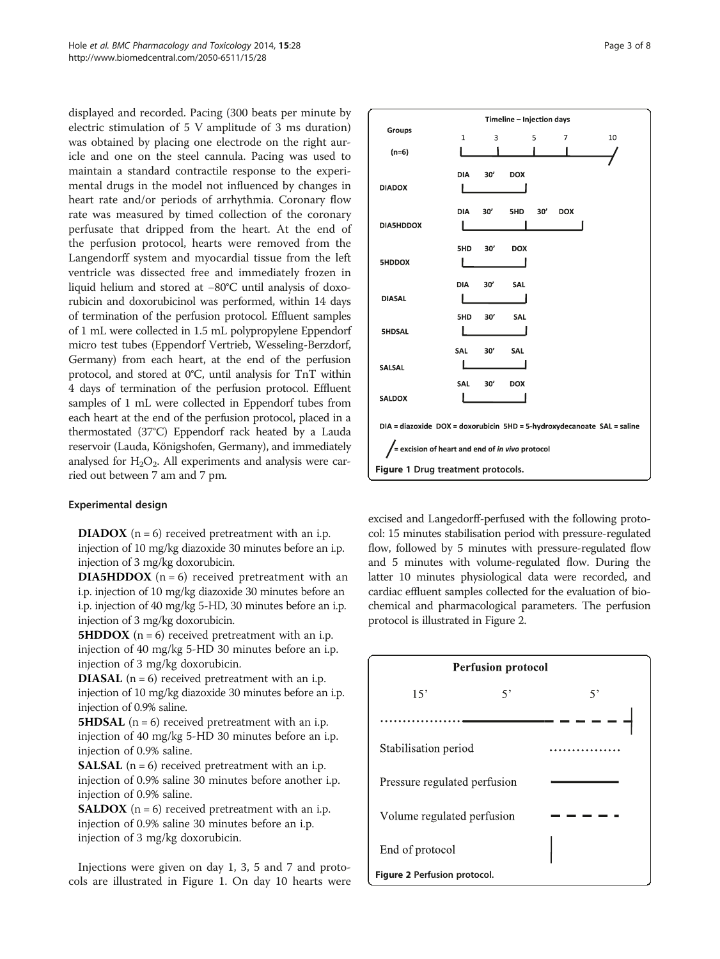displayed and recorded. Pacing (300 beats per minute by electric stimulation of 5 V amplitude of 3 ms duration) was obtained by placing one electrode on the right auricle and one on the steel cannula. Pacing was used to maintain a standard contractile response to the experimental drugs in the model not influenced by changes in heart rate and/or periods of arrhythmia. Coronary flow rate was measured by timed collection of the coronary perfusate that dripped from the heart. At the end of the perfusion protocol, hearts were removed from the Langendorff system and myocardial tissue from the left ventricle was dissected free and immediately frozen in liquid helium and stored at −80°C until analysis of doxorubicin and doxorubicinol was performed, within 14 days of termination of the perfusion protocol. Effluent samples of 1 mL were collected in 1.5 mL polypropylene Eppendorf micro test tubes (Eppendorf Vertrieb, Wesseling-Berzdorf, Germany) from each heart, at the end of the perfusion protocol, and stored at 0°C, until analysis for TnT within 4 days of termination of the perfusion protocol. Effluent samples of 1 mL were collected in Eppendorf tubes from each heart at the end of the perfusion protocol, placed in a thermostated (37°C) Eppendorf rack heated by a Lauda reservoir (Lauda, Königshofen, Germany), and immediately analysed for  $H_2O_2$ . All experiments and analysis were carried out between 7 am and 7 pm.

## Experimental design

**DIADOX**  $(n = 6)$  received pretreatment with an i.p. injection of 10 mg/kg diazoxide 30 minutes before an i.p. injection of 3 mg/kg doxorubicin.

**DIA5HDDOX** ( $n = 6$ ) received pretreatment with an i.p. injection of 10 mg/kg diazoxide 30 minutes before an i.p. injection of 40 mg/kg 5-HD, 30 minutes before an i.p. injection of 3 mg/kg doxorubicin.

**5HDDOX** ( $n = 6$ ) received pretreatment with an i.p. injection of 40 mg/kg 5-HD 30 minutes before an i.p. injection of 3 mg/kg doxorubicin.

**DIASAL** ( $n = 6$ ) received pretreatment with an i.p. injection of 10 mg/kg diazoxide 30 minutes before an i.p. injection of 0.9% saline.

**5HDSAL** ( $n = 6$ ) received pretreatment with an i.p. injection of 40 mg/kg 5-HD 30 minutes before an i.p. injection of 0.9% saline.

**SALSAL** ( $n = 6$ ) received pretreatment with an i.p. injection of 0.9% saline 30 minutes before another i.p. injection of 0.9% saline.

**SALDOX** ( $n = 6$ ) received pretreatment with an i.p. injection of 0.9% saline 30 minutes before an i.p. injection of 3 mg/kg doxorubicin.

Injections were given on day 1, 3, 5 and 7 and protocols are illustrated in Figure 1. On day 10 hearts were



excised and Langedorff-perfused with the following protocol: 15 minutes stabilisation period with pressure-regulated flow, followed by 5 minutes with pressure-regulated flow and 5 minutes with volume-regulated flow. During the latter 10 minutes physiological data were recorded, and cardiac effluent samples collected for the evaluation of biochemical and pharmacological parameters. The perfusion protocol is illustrated in Figure 2.

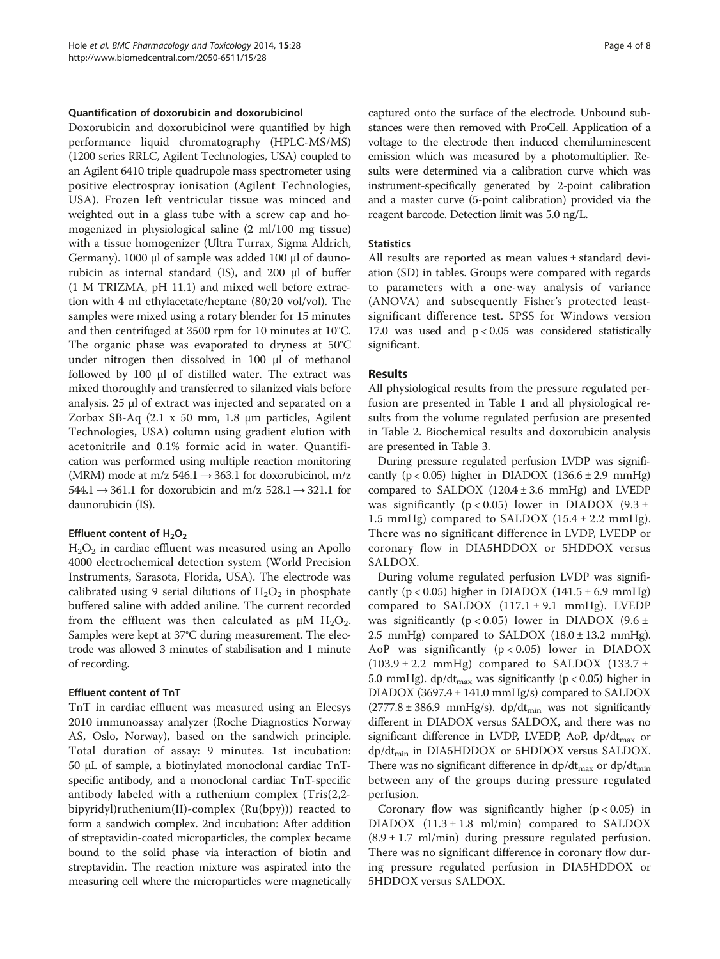#### Quantification of doxorubicin and doxorubicinol

Doxorubicin and doxorubicinol were quantified by high performance liquid chromatography (HPLC-MS/MS) (1200 series RRLC, Agilent Technologies, USA) coupled to an Agilent 6410 triple quadrupole mass spectrometer using positive electrospray ionisation (Agilent Technologies, USA). Frozen left ventricular tissue was minced and weighted out in a glass tube with a screw cap and homogenized in physiological saline (2 ml/100 mg tissue) with a tissue homogenizer (Ultra Turrax, Sigma Aldrich, Germany). 1000 μl of sample was added 100 μl of daunorubicin as internal standard (IS), and 200 μl of buffer (1 M TRIZMA, pH 11.1) and mixed well before extraction with 4 ml ethylacetate/heptane (80/20 vol/vol). The samples were mixed using a rotary blender for 15 minutes and then centrifuged at 3500 rpm for 10 minutes at 10°C. The organic phase was evaporated to dryness at 50°C under nitrogen then dissolved in 100 μl of methanol followed by 100 μl of distilled water. The extract was mixed thoroughly and transferred to silanized vials before analysis. 25 μl of extract was injected and separated on a Zorbax SB-Aq (2.1 x 50 mm, 1.8 μm particles, Agilent Technologies, USA) column using gradient elution with acetonitrile and 0.1% formic acid in water. Quantification was performed using multiple reaction monitoring (MRM) mode at m/z 546.1  $\rightarrow$  363.1 for doxorubicinol, m/z  $544.1 \rightarrow 361.1$  for doxorubicin and m/z  $528.1 \rightarrow 321.1$  for daunorubicin (IS).

#### Effluent content of  $H_2O_2$

 $H<sub>2</sub>O<sub>2</sub>$  in cardiac effluent was measured using an Apollo 4000 electrochemical detection system (World Precision Instruments, Sarasota, Florida, USA). The electrode was calibrated using 9 serial dilutions of  $H_2O_2$  in phosphate buffered saline with added aniline. The current recorded from the effluent was then calculated as  $\mu$ M H<sub>2</sub>O<sub>2</sub>. Samples were kept at 37°C during measurement. The electrode was allowed 3 minutes of stabilisation and 1 minute of recording.

### Effluent content of TnT

TnT in cardiac effluent was measured using an Elecsys 2010 immunoassay analyzer (Roche Diagnostics Norway AS, Oslo, Norway), based on the sandwich principle. Total duration of assay: 9 minutes. 1st incubation: 50 μL of sample, a biotinylated monoclonal cardiac TnTspecific antibody, and a monoclonal cardiac TnT-specific antibody labeled with a ruthenium complex (Tris(2,2 bipyridyl)ruthenium(II)-complex (Ru(bpy))) reacted to form a sandwich complex. 2nd incubation: After addition of streptavidin-coated microparticles, the complex became bound to the solid phase via interaction of biotin and streptavidin. The reaction mixture was aspirated into the measuring cell where the microparticles were magnetically

captured onto the surface of the electrode. Unbound substances were then removed with ProCell. Application of a voltage to the electrode then induced chemiluminescent emission which was measured by a photomultiplier. Results were determined via a calibration curve which was instrument-specifically generated by 2-point calibration and a master curve (5-point calibration) provided via the reagent barcode. Detection limit was 5.0 ng/L.

### **Statistics**

All results are reported as mean values ± standard deviation (SD) in tables. Groups were compared with regards to parameters with a one-way analysis of variance (ANOVA) and subsequently Fisher's protected leastsignificant difference test. SPSS for Windows version 17.0 was used and  $p < 0.05$  was considered statistically significant.

### Results

All physiological results from the pressure regulated perfusion are presented in Table [1](#page-4-0) and all physiological results from the volume regulated perfusion are presented in Table [2.](#page-4-0) Biochemical results and doxorubicin analysis are presented in Table [3.](#page-5-0)

During pressure regulated perfusion LVDP was significantly  $(p < 0.05)$  higher in DIADOX  $(136.6 \pm 2.9 \text{ mmHg})$ compared to SALDOX  $(120.4 \pm 3.6 \text{ mmHg})$  and LVEDP was significantly ( $p < 0.05$ ) lower in DIADOX (9.3 ± 1.5 mmHg) compared to SALDOX  $(15.4 \pm 2.2 \text{ mmHg})$ . There was no significant difference in LVDP, LVEDP or coronary flow in DIA5HDDOX or 5HDDOX versus SALDOX.

During volume regulated perfusion LVDP was significantly ( $p < 0.05$ ) higher in DIADOX (141.5  $\pm$  6.9 mmHg) compared to SALDOX  $(117.1 \pm 9.1 \text{ mmHg})$ . LVEDP was significantly ( $p < 0.05$ ) lower in DIADOX (9.6 ± 2.5 mmHg) compared to SALDOX  $(18.0 \pm 13.2 \text{ mmHg})$ . AoP was significantly  $(p < 0.05)$  lower in DIADOX  $(103.9 \pm 2.2 \text{ mmHg})$  compared to SALDOX  $(133.7 \pm 1.2 \text{ mmHg})$ 5.0 mmHg). dp/dt<sub>max</sub> was significantly ( $p < 0.05$ ) higher in DIADOX (3697.4 ± 141.0 mmHg/s) compared to SALDOX  $(2777.8 \pm 386.9 \text{ mmHg/s})$ . dp/dt<sub>min</sub> was not significantly different in DIADOX versus SALDOX, and there was no significant difference in LVDP, LVEDP, AoP,  $dp/dt_{max}$  or dp/dt<sub>min</sub> in DIA5HDDOX or 5HDDOX versus SALDOX. There was no significant difference in  $dp/dt_{max}$  or  $dp/dt_{min}$ between any of the groups during pressure regulated perfusion.

Coronary flow was significantly higher  $(p < 0.05)$  in DIADOX  $(11.3 \pm 1.8 \text{ ml/min})$  compared to SALDOX  $(8.9 \pm 1.7 \text{ ml/min})$  during pressure regulated perfusion. There was no significant difference in coronary flow during pressure regulated perfusion in DIA5HDDOX or 5HDDOX versus SALDOX.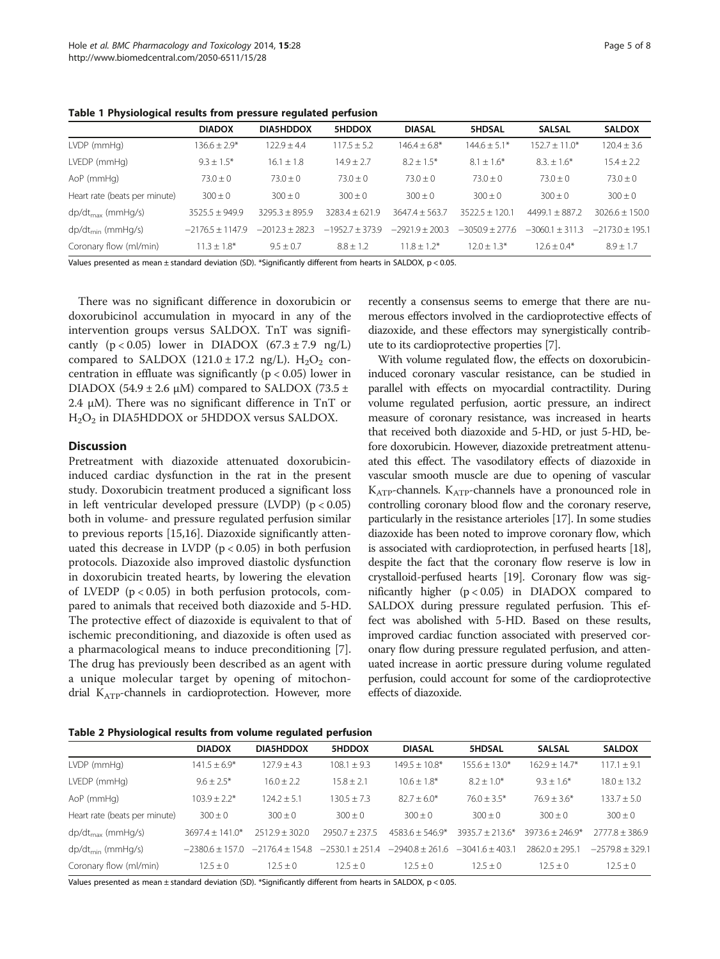<span id="page-4-0"></span>Table 1 Physiological results from pressure regulated perfusion

|                               | <b>DIADOX</b>      | <b>DIA5HDDOX</b>  | <b>5HDDOX</b>     | <b>DIASAL</b>     | <b>5HDSAL</b>     | <b>SALSAL</b>       | <b>SALDOX</b>     |
|-------------------------------|--------------------|-------------------|-------------------|-------------------|-------------------|---------------------|-------------------|
| $LVDP$ (mm $Hq$ )             | $136.6 + 2.9*$     | $122.9 + 4.4$     | $117.5 \pm 5.2$   | $146.4 + 6.8*$    | $144.6 \pm 5.1*$  | $152.7 + 11.0*$     | $120.4 \pm 3.6$   |
| LVEDP (mmHq)                  | $9.3 \pm 1.5^*$    | $16.1 \pm 1.8$    | $14.9 \pm 2.7$    | $8.2 + 1.5*$      | $8.1 \pm 1.6*$    | $8.3 \pm 1.6^*$     | $15.4 \pm 2.2$    |
| AoP (mmHg)                    | $73.0 \pm 0$       | $73.0 \pm 0$      | $73.0 \pm 0$      | $73.0 \pm 0$      | $73.0 \pm 0$      | $73.0 \pm 0$        | $73.0 \pm 0$      |
| Heart rate (beats per minute) | $300 \pm 0$        | $300 \pm 0$       | $300 \pm 0$       | $300 \pm 0$       | $300 \pm 0$       | $300 \pm 0$         | $300 \pm 0$       |
| $dp/dt_{max}$ (mmHg/s)        | $3525.5 + 949.9$   | $3295.3 + 895.9$  | $3283.4 + 621.9$  | $3647.4 + 563.7$  | $3522.5 + 120.1$  | $4499.1 + 887.2$    | $3026.6 + 150.0$  |
| $dp/dt_{min}$ (mmHg/s)        | $-2176.5 + 1147.9$ | $-2012.3 + 282.3$ | $-1952.7 + 373.9$ | $-2921.9 + 200.3$ | $-3050.9 + 277.6$ | $-3060.1 \pm 311.3$ | $-2173.0 + 195.1$ |
| Coronary flow (ml/min)        | $11.3 \pm 1.8^*$   | $9.5 \pm 0.7$     | $8.8 \pm 1.2$     | $11.8 + 1.2*$     | $12.0 \pm 1.3*$   | $12.6 \pm 0.4*$     | $8.9 \pm 1.7$     |

Values presented as mean ± standard deviation (SD). \*Significantly different from hearts in SALDOX, p < 0.05.

There was no significant difference in doxorubicin or doxorubicinol accumulation in myocard in any of the intervention groups versus SALDOX. TnT was significantly  $(p < 0.05)$  lower in DIADOX  $(67.3 \pm 7.9 \text{ ng/L})$ compared to SALDOX (121.0  $\pm$  17.2 ng/L). H<sub>2</sub>O<sub>2</sub> concentration in effluate was significantly ( $p < 0.05$ ) lower in DIADOX (54.9  $\pm$  2.6  $\mu$ M) compared to SALDOX (73.5  $\pm$ 2.4 μM). There was no significant difference in TnT or  $H<sub>2</sub>O<sub>2</sub>$  in DIA5HDDOX or 5HDDOX versus SALDOX.

## **Discussion**

Pretreatment with diazoxide attenuated doxorubicininduced cardiac dysfunction in the rat in the present study. Doxorubicin treatment produced a significant loss in left ventricular developed pressure (LVDP)  $(p < 0.05)$ both in volume- and pressure regulated perfusion similar to previous reports [[15,16\]](#page-6-0). Diazoxide significantly attenuated this decrease in LVDP ( $p < 0.05$ ) in both perfusion protocols. Diazoxide also improved diastolic dysfunction in doxorubicin treated hearts, by lowering the elevation of LVEDP ( $p < 0.05$ ) in both perfusion protocols, compared to animals that received both diazoxide and 5-HD. The protective effect of diazoxide is equivalent to that of ischemic preconditioning, and diazoxide is often used as a pharmacological means to induce preconditioning [\[7](#page-6-0)]. The drug has previously been described as an agent with a unique molecular target by opening of mitochondrial KATP-channels in cardioprotection. However, more

recently a consensus seems to emerge that there are numerous effectors involved in the cardioprotective effects of diazoxide, and these effectors may synergistically contribute to its cardioprotective properties [\[7\]](#page-6-0).

With volume regulated flow, the effects on doxorubicininduced coronary vascular resistance, can be studied in parallel with effects on myocardial contractility. During volume regulated perfusion, aortic pressure, an indirect measure of coronary resistance, was increased in hearts that received both diazoxide and 5-HD, or just 5-HD, before doxorubicin. However, diazoxide pretreatment attenuated this effect. The vasodilatory effects of diazoxide in vascular smooth muscle are due to opening of vascular KATP-channels. KATP-channels have a pronounced role in controlling coronary blood flow and the coronary reserve, particularly in the resistance arterioles [\[17](#page-6-0)]. In some studies diazoxide has been noted to improve coronary flow, which is associated with cardioprotection, in perfused hearts [\[18](#page-6-0)], despite the fact that the coronary flow reserve is low in crystalloid-perfused hearts [[19](#page-6-0)]. Coronary flow was significantly higher (p < 0.05) in DIADOX compared to SALDOX during pressure regulated perfusion. This effect was abolished with 5-HD. Based on these results, improved cardiac function associated with preserved coronary flow during pressure regulated perfusion, and attenuated increase in aortic pressure during volume regulated perfusion, could account for some of the cardioprotective effects of diazoxide.

| Table 2 Physiological results from volume regulated perfusion |  |  |  |
|---------------------------------------------------------------|--|--|--|
|---------------------------------------------------------------|--|--|--|

|                               | <b>DIADOX</b>       | <b>DIA5HDDOX</b>   | 5HDDOX            | <b>DIASAL</b>     | <b>5HDSAL</b>     | <b>SALSAL</b>     | <b>SALDOX</b>     |  |  |
|-------------------------------|---------------------|--------------------|-------------------|-------------------|-------------------|-------------------|-------------------|--|--|
| $LVDP$ (mm $Hq$ )             | $141.5 + 6.9*$      | $127.9 + 4.3$      | $108.1 + 9.3$     | $149.5 + 10.8*$   | $155.6 + 13.0*$   | $162.9 + 14.7*$   | $117.1 + 9.1$     |  |  |
| LVEDP (mmHg)                  | $9.6 \pm 2.5*$      | $16.0 \pm 2.2$     | $15.8 \pm 2.1$    | $10.6 \pm 1.8*$   | $8.2 + 1.0*$      | $9.3 + 1.6*$      | $18.0 \pm 13.2$   |  |  |
| AoP (mmHg)                    | $103.9 \pm 2.2*$    | $124.2 \pm 5.1$    | $130.5 \pm 7.3$   | $82.7 + 6.0*$     | $76.0 \pm 3.5*$   | $76.9 + 3.6*$     | $133.7 \pm 5.0$   |  |  |
| Heart rate (beats per minute) | $300 \pm 0$         | $300 \pm 0$        | $300 \pm 0$       | $300 + 0$         | $300 + 0$         | $300 + 0$         | $300 \pm 0$       |  |  |
| $dp/dt_{max}$ (mmHg/s)        | $3697.4 \pm 141.0*$ | $2512.9 \pm 302.0$ | $7950.7 + 737.5$  | $4583.6 + 546.9*$ | $3935.7 + 213.6*$ | $3973.6 + 246.9*$ | $7777.8 + 386.9$  |  |  |
| $dp/dt_{min}$ (mmHg/s)        | $-23806 + 1570$     | $-21764 + 1548$    | $-2530.1 + 251.4$ | $-29408 + 2616$   | $-3041.6 + 403.1$ | $7862.0 + 795.1$  | $-2579.8 + 329.1$ |  |  |
| Coronary flow (ml/min)        | $12.5 \pm 0$        | $12.5 \pm 0$       | $12.5 \pm 0$      | $12.5 \pm 0$      | $12.5 + 0$        | $12.5 \pm 0$      | $12.5 \pm 0$      |  |  |

Values presented as mean ± standard deviation (SD). \*Significantly different from hearts in SALDOX, p < 0.05.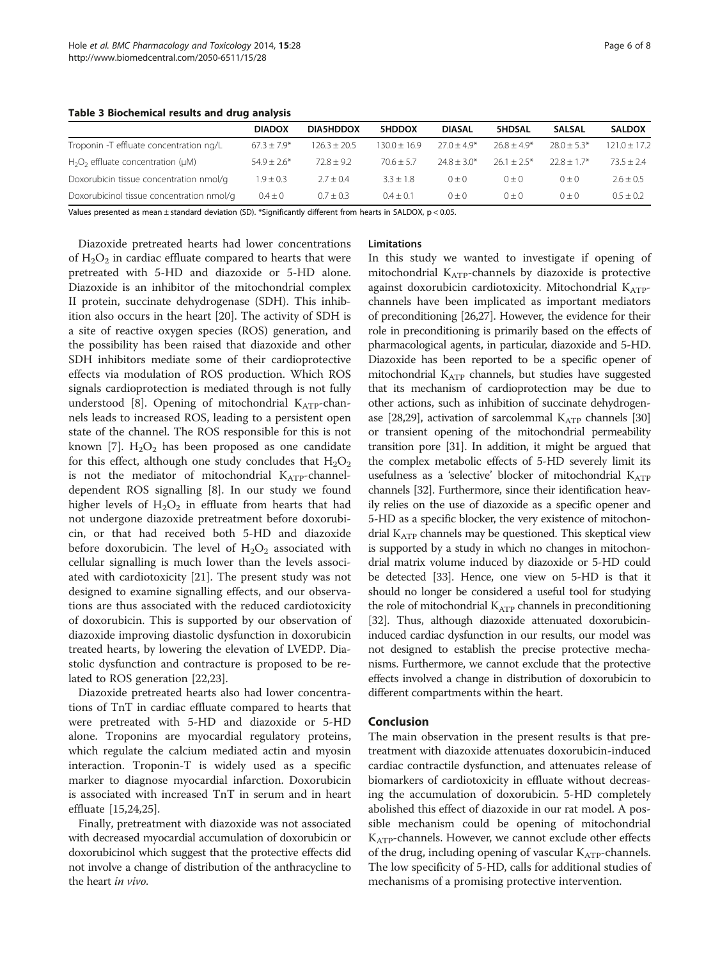<span id="page-5-0"></span>Table 3 Biochemical results and drug analysis

|                                            | <b>DIADOX</b>   | <b>DIA5HDDOX</b> | 5HDDOX         | <b>DIASAL</b> | <b>5HDSAL</b> | <b>SALSAL</b> | <b>SALDOX</b>  |
|--------------------------------------------|-----------------|------------------|----------------|---------------|---------------|---------------|----------------|
| Troponin -T effluate concentration ng/L    | $67.3 + 7.9*$   | $126.3 \pm 20.5$ | $130.0 + 16.9$ | $77.0 + 4.9*$ | $768 + 49*$   | $78.0 + 5.3*$ | $121.0 + 17.2$ |
| $H_2O_2$ effluate concentration ( $\mu$ M) | $54.9 \pm 2.6*$ | $72.8 + 9.2$     | $70.6 + 5.7$   | $74.8 + 3.0*$ | $26.1 + 2.5*$ | $228 + 17*$   | $73.5 + 2.4$   |
| Doxorubicin tissue concentration nmol/g    | $1.9 + 0.3$     | $2.7 + 0.4$      | $3.3 + 1.8$    | $() + ()$     | $0 + 0$       | $() + ()$     | $2.6 + 0.5$    |
| Doxorubicinol tissue concentration nmol/g  | $0.4 + 0$       | $0.7 \pm 0.3$    | $0.4 + 0.1$    | $() + ()$     | $() + ()$     | $() + ()$     | $0.5 + 0.2$    |

Values presented as mean ± standard deviation (SD). \*Significantly different from hearts in SALDOX, p < 0.05.

Diazoxide pretreated hearts had lower concentrations of  $H_2O_2$  in cardiac effluate compared to hearts that were pretreated with 5-HD and diazoxide or 5-HD alone. Diazoxide is an inhibitor of the mitochondrial complex II protein, succinate dehydrogenase (SDH). This inhibition also occurs in the heart [\[20\]](#page-6-0). The activity of SDH is a site of reactive oxygen species (ROS) generation, and the possibility has been raised that diazoxide and other SDH inhibitors mediate some of their cardioprotective effects via modulation of ROS production. Which ROS signals cardioprotection is mediated through is not fully understood [\[8](#page-6-0)]. Opening of mitochondrial  $K_{ATP}$ -channels leads to increased ROS, leading to a persistent open state of the channel. The ROS responsible for this is not known [\[7](#page-6-0)].  $H_2O_2$  has been proposed as one candidate for this effect, although one study concludes that  $H_2O_2$ is not the mediator of mitochondrial  $K_{ATP}$ -channeldependent ROS signalling [\[8](#page-6-0)]. In our study we found higher levels of  $H_2O_2$  in effluate from hearts that had not undergone diazoxide pretreatment before doxorubicin, or that had received both 5-HD and diazoxide before doxorubicin. The level of  $H_2O_2$  associated with cellular signalling is much lower than the levels associated with cardiotoxicity [[21\]](#page-6-0). The present study was not designed to examine signalling effects, and our observations are thus associated with the reduced cardiotoxicity of doxorubicin. This is supported by our observation of diazoxide improving diastolic dysfunction in doxorubicin treated hearts, by lowering the elevation of LVEDP. Diastolic dysfunction and contracture is proposed to be related to ROS generation [[22](#page-6-0),[23](#page-6-0)].

Diazoxide pretreated hearts also had lower concentrations of TnT in cardiac effluate compared to hearts that were pretreated with 5-HD and diazoxide or 5-HD alone. Troponins are myocardial regulatory proteins, which regulate the calcium mediated actin and myosin interaction. Troponin-T is widely used as a specific marker to diagnose myocardial infarction. Doxorubicin is associated with increased TnT in serum and in heart effluate [\[15,24,25](#page-6-0)].

Finally, pretreatment with diazoxide was not associated with decreased myocardial accumulation of doxorubicin or doxorubicinol which suggest that the protective effects did not involve a change of distribution of the anthracycline to the heart in vivo.

## Limitations

In this study we wanted to investigate if opening of mitochondrial  $K_{ATP}$ -channels by diazoxide is protective against doxorubicin cardiotoxicity. Mitochondrial  $K_{ATP}$ channels have been implicated as important mediators of preconditioning [\[26,27](#page-6-0)]. However, the evidence for their role in preconditioning is primarily based on the effects of pharmacological agents, in particular, diazoxide and 5-HD. Diazoxide has been reported to be a specific opener of mitochondrial KATP channels, but studies have suggested that its mechanism of cardioprotection may be due to other actions, such as inhibition of succinate dehydrogen-ase [[28,29\]](#page-6-0), activation of sarcolemmal  $K_{ATP}$  channels [\[30](#page-6-0)] or transient opening of the mitochondrial permeability transition pore [[31](#page-6-0)]. In addition, it might be argued that the complex metabolic effects of 5-HD severely limit its usefulness as a 'selective' blocker of mitochondrial  $K_{ATP}$ channels [\[32\]](#page-7-0). Furthermore, since their identification heavily relies on the use of diazoxide as a specific opener and 5-HD as a specific blocker, the very existence of mitochondrial  $K<sub>ATP</sub>$  channels may be questioned. This skeptical view is supported by a study in which no changes in mitochondrial matrix volume induced by diazoxide or 5-HD could be detected [\[33\]](#page-7-0). Hence, one view on 5-HD is that it should no longer be considered a useful tool for studying the role of mitochondrial  $K_{ATP}$  channels in preconditioning [[32](#page-7-0)]. Thus, although diazoxide attenuated doxorubicininduced cardiac dysfunction in our results, our model was not designed to establish the precise protective mechanisms. Furthermore, we cannot exclude that the protective effects involved a change in distribution of doxorubicin to different compartments within the heart.

## Conclusion

The main observation in the present results is that pretreatment with diazoxide attenuates doxorubicin-induced cardiac contractile dysfunction, and attenuates release of biomarkers of cardiotoxicity in effluate without decreasing the accumulation of doxorubicin. 5-HD completely abolished this effect of diazoxide in our rat model. A possible mechanism could be opening of mitochondrial  $K_{ATP}$ -channels. However, we cannot exclude other effects of the drug, including opening of vascular  $K_{ATP}$ -channels. The low specificity of 5-HD, calls for additional studies of mechanisms of a promising protective intervention.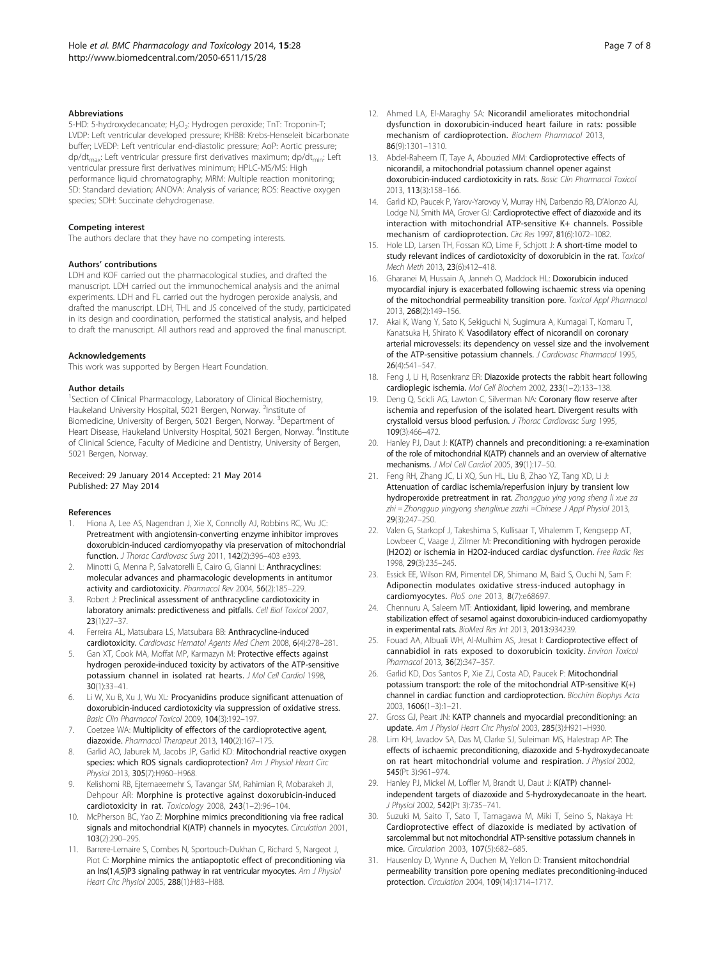#### <span id="page-6-0"></span>**Abbreviations**

5-HD: 5-hydroxydecanoate; H<sub>2</sub>O<sub>2</sub>: Hydrogen peroxide; TnT: Troponin-T; LVDP: Left ventricular developed pressure; KHBB: Krebs-Henseleit bicarbonate buffer; LVEDP: Left ventricular end-diastolic pressure; AoP: Aortic pressure;  $dp/dt_{max}$ : Left ventricular pressure first derivatives maximum; dp/dt<sub>min</sub>: Left ventricular pressure first derivatives minimum; HPLC-MS/MS: High performance liquid chromatography; MRM: Multiple reaction monitoring; SD: Standard deviation; ANOVA: Analysis of variance; ROS: Reactive oxygen species; SDH: Succinate dehydrogenase.

#### Competing interest

The authors declare that they have no competing interests.

#### Authors' contributions

LDH and KOF carried out the pharmacological studies, and drafted the manuscript. LDH carried out the immunochemical analysis and the animal experiments. LDH and FL carried out the hydrogen peroxide analysis, and drafted the manuscript. LDH, THL and JS conceived of the study, participated in its design and coordination, performed the statistical analysis, and helped to draft the manuscript. All authors read and approved the final manuscript.

#### Acknowledgements

This work was supported by Bergen Heart Foundation.

#### Author details

<sup>1</sup>Section of Clinical Pharmacology, Laboratory of Clinical Biochemistry, Haukeland University Hospital, 5021 Bergen, Norway. <sup>2</sup>Institute of Biomedicine, University of Bergen, 5021 Bergen, Norway. <sup>3</sup>Department of Heart Disease, Haukeland University Hospital, 5021 Bergen, Norway. <sup>4</sup>Institute of Clinical Science, Faculty of Medicine and Dentistry, University of Bergen, 5021 Bergen, Norway.

#### Received: 29 January 2014 Accepted: 21 May 2014 Published: 27 May 2014

#### References

- Hiona A, Lee AS, Nagendran J, Xie X, Connolly AJ, Robbins RC, Wu JC: Pretreatment with angiotensin-converting enzyme inhibitor improves doxorubicin-induced cardiomyopathy via preservation of mitochondrial function. J Thorac Cardiovasc Surg 2011, 142(2):396–403 e393.
- 2. Minotti G, Menna P, Salvatorelli E, Cairo G, Gianni L: Anthracyclines: molecular advances and pharmacologic developments in antitumor activity and cardiotoxicity. Pharmacol Rev 2004, 56(2):185–229.
- 3. Robert J: Preclinical assessment of anthracycline cardiotoxicity in laboratory animals: predictiveness and pitfalls. Cell Biol Toxicol 2007, 23(1):27–37.
- 4. Ferreira AL, Matsubara LS, Matsubara BB: Anthracycline-induced cardiotoxicity. Cardiovasc Hematol Agents Med Chem 2008, 6(4):278–281.
- 5. Gan XT, Cook MA, Moffat MP, Karmazyn M: Protective effects against hydrogen peroxide-induced toxicity by activators of the ATP-sensitive potassium channel in isolated rat hearts. J Mol Cell Cardiol 1998, 30(1):33–41.
- 6. Li W, Xu B, Xu J, Wu XL: Procyanidins produce significant attenuation of doxorubicin-induced cardiotoxicity via suppression of oxidative stress. Basic Clin Pharmacol Toxicol 2009, 104(3):192–197.
- 7. Coetzee WA: Multiplicity of effectors of the cardioprotective agent, diazoxide. Pharmacol Therapeut 2013, 140(2):167-175
- 8. Garlid AO, Jaburek M, Jacobs JP, Garlid KD: Mitochondrial reactive oxygen species: which ROS signals cardioprotection? Am J Physiol Heart Circ Physiol 2013, 305(7):H960–H968.
- 9. Kelishomi RB, Ejtemaeemehr S, Tavangar SM, Rahimian R, Mobarakeh JI, Dehpour AR: Morphine is protective against doxorubicin-induced cardiotoxicity in rat. Toxicology 2008, 243(1–2):96–104.
- 10. McPherson BC, Yao Z: Morphine mimics preconditioning via free radical signals and mitochondrial K(ATP) channels in myocytes. Circulation 2001, 103(2):290–295.
- 11. Barrere-Lemaire S, Combes N, Sportouch-Dukhan C, Richard S, Nargeot J, Piot C: Morphine mimics the antiapoptotic effect of preconditioning via an Ins(1,4,5)P3 signaling pathway in rat ventricular myocytes. Am J Physiol Heart Circ Physiol 2005, 288(1):H83–H88.
- 12. Ahmed LA, El-Maraghy SA: Nicorandil ameliorates mitochondrial dysfunction in doxorubicin-induced heart failure in rats: possible mechanism of cardioprotection. Biochem Pharmacol 2013, 86(9):1301–1310.
- 13. Abdel-Raheem IT, Taye A, Abouzied MM: Cardioprotective effects of nicorandil, a mitochondrial potassium channel opener against doxorubicin-induced cardiotoxicity in rats. Basic Clin Pharmacol Toxicol 2013, 113(3):158–166.
- 14. Garlid KD, Paucek P, Yarov-Yarovoy V, Murray HN, Darbenzio RB, D'Alonzo AJ, Lodge NJ, Smith MA, Grover GJ: Cardioprotective effect of diazoxide and its interaction with mitochondrial ATP-sensitive K+ channels. Possible mechanism of cardioprotection. Circ Res 1997, 81(6):1072–1082.
- 15. Hole LD, Larsen TH, Fossan KO, Lime F, Schjott J: A short-time model to study relevant indices of cardiotoxicity of doxorubicin in the rat. Toxicol Mech Meth 2013, 23(6):412–418.
- 16. Gharanei M, Hussain A, Janneh O, Maddock HL: Doxorubicin induced myocardial injury is exacerbated following ischaemic stress via opening of the mitochondrial permeability transition pore. Toxicol Appl Pharmacol 2013, 268(2):149–156.
- 17. Akai K, Wang Y, Sato K, Sekiguchi N, Sugimura A, Kumagai T, Komaru T, Kanatsuka H, Shirato K: Vasodilatory effect of nicorandil on coronary arterial microvessels: its dependency on vessel size and the involvement of the ATP-sensitive potassium channels. J Cardiovasc Pharmacol 1995, 26(4):541–547.
- 18. Feng J, Li H, Rosenkranz ER: Diazoxide protects the rabbit heart following cardioplegic ischemia. Mol Cell Biochem 2002, 233(1–2):133–138.
- 19. Deng Q, Scicli AG, Lawton C, Silverman NA: Coronary flow reserve after ischemia and reperfusion of the isolated heart. Divergent results with crystalloid versus blood perfusion. J Thorac Cardiovasc Surg 1995, 109(3):466–472.
- 20. Hanley PJ, Daut J: K(ATP) channels and preconditioning: a re-examination of the role of mitochondrial K(ATP) channels and an overview of alternative mechanisms. J Mol Cell Cardiol 2005, 39(1):17–50.
- 21. Feng RH, Zhang JC, Li XQ, Sun HL, Liu B, Zhao YZ, Tang XD, Li J: Attenuation of cardiac ischemia/reperfusion injury by transient low hydroperoxide pretreatment in rat. Zhongguo ying yong sheng li xue za zhi = Zhongguo yingyong shenglixue zazhi =Chinese J Appl Physiol 2013, 29(3):247–250.
- 22. Valen G, Starkopf J, Takeshima S, Kullisaar T, Vihalemm T, Kengsepp AT, Lowbeer C, Vaage J, Zilmer M: Preconditioning with hydrogen peroxide (H2O2) or ischemia in H2O2-induced cardiac dysfunction. Free Radic Res 1998, 29(3):235–245.
- 23. Essick EE, Wilson RM, Pimentel DR, Shimano M, Baid S, Ouchi N, Sam F: Adiponectin modulates oxidative stress-induced autophagy in cardiomyocytes. PloS one 2013, 8(7):e68697.
- 24. Chennuru A, Saleem MT: Antioxidant, lipid lowering, and membrane stabilization effect of sesamol against doxorubicin-induced cardiomyopathy in experimental rats. BioMed Res Int 2013, 2013:934239.
- 25. Fouad AA, Albuali WH, Al-Mulhim AS, Jresat I: Cardioprotective effect of cannabidiol in rats exposed to doxorubicin toxicity. Environ Toxicol Pharmacol 2013, 36(2):347–357.
- 26. Garlid KD, Dos Santos P, Xie ZJ, Costa AD, Paucek P: Mitochondrial potassium transport: the role of the mitochondrial ATP-sensitive K(+) channel in cardiac function and cardioprotection. Biochim Biophys Acta 2003, 1606(1–3):1–21.
- 27. Gross GJ, Peart JN: KATP channels and myocardial preconditioning: an update. Am J Physiol Heart Circ Physiol 2003, 285(3):H921–H930.
- 28. Lim KH, Javadov SA, Das M, Clarke SJ, Suleiman MS, Halestrap AP: The effects of ischaemic preconditioning, diazoxide and 5-hydroxydecanoate on rat heart mitochondrial volume and respiration. J Physiol 2002, 545(Pt 3):961–974.
- 29. Hanley PJ, Mickel M, Loffler M, Brandt U, Daut J: K(ATP) channelindependent targets of diazoxide and 5-hydroxydecanoate in the heart. J Physiol 2002, 542(Pt 3):735-741.
- 30. Suzuki M, Saito T, Sato T, Tamagawa M, Miki T, Seino S, Nakaya H: Cardioprotective effect of diazoxide is mediated by activation of sarcolemmal but not mitochondrial ATP-sensitive potassium channels in mice. Circulation 2003, 107(5):682–685.
- 31. Hausenloy D, Wynne A, Duchen M, Yellon D: Transient mitochondrial permeability transition pore opening mediates preconditioning-induced protection. Circulation 2004, 109(14):1714–1717.